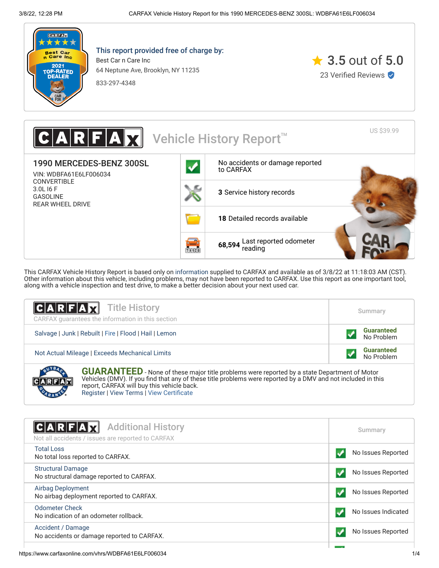

**CARABS** 

This report provided free of charge by:

Best Car n Care Inc 64 Neptune Ave, Brooklyn, NY 11235

833-297-4348



US \$39.99 Vehicle History Report<sup>™</sup> 1990 MERCEDES-BENZ 300SL [No accidents or damage reported](#page-0-0) to CARFAX VIN: WDBFA61E6LF006034 CONVERTIBLE 3.0L I6 F **3** [Service history records](#page-1-0) GASOLINE REAR WHEEL DRIVE **18** [Detailed records available](#page-1-0) **68,594** [Last reported odometer](#page-1-0) reading731128

This CARFAX Vehicle History Report is based only on [information](http://www.carfax.com/company/vhr-data-sources) supplied to CARFAX and available as of 3/8/22 at 11:18:03 AM (CST). Other information about this vehicle, including problems, may not have been reported to CARFAX. Use this report as one important tool, along with a vehicle inspection and test drive, to make a better decision about your next used car.

| <b>CARFAX</b> Title History<br>CARFAX quarantees the information in this section                                                                                                                                                                                  | Summary                         |
|-------------------------------------------------------------------------------------------------------------------------------------------------------------------------------------------------------------------------------------------------------------------|---------------------------------|
| Salvage   Junk   Rebuilt   Fire   Flood   Hail   Lemon                                                                                                                                                                                                            | <b>Guaranteed</b><br>No Problem |
| Not Actual Mileage   Exceeds Mechanical Limits                                                                                                                                                                                                                    | <b>Guaranteed</b><br>No Problem |
| <b>GUARANTEED</b> - None of these major title problems were reported by a state Department of Motor<br>Vehicles (DMV). If you find that any of these title problems were reported by a DMV and not included in this<br>report, CARFAX will buy this vehicle back. |                                 |

[Register](https://www.carfax.com/Service/bbg) | [View Terms](http://www.carfaxonline.com/legal/bbgTerms) | [View Certificate](https://www.carfaxonline.com/vhrs/WDBFA61E6LF006034)

<span id="page-0-0"></span>

| C A R F A H<br><b>Additional History</b><br>Not all accidents / issues are reported to CARFAX | Summary             |
|-----------------------------------------------------------------------------------------------|---------------------|
| <b>Total Loss</b><br>No total loss reported to CARFAX.                                        | No Issues Reported  |
| <b>Structural Damage</b><br>No structural damage reported to CARFAX.                          | No Issues Reported  |
| <b>Airbag Deployment</b><br>No airbag deployment reported to CARFAX.                          | No Issues Reported  |
| Odometer Check<br>No indication of an odometer rollback.                                      | No Issues Indicated |
| Accident / Damage<br>No accidents or damage reported to CARFAX.                               | No Issues Reported  |
|                                                                                               |                     |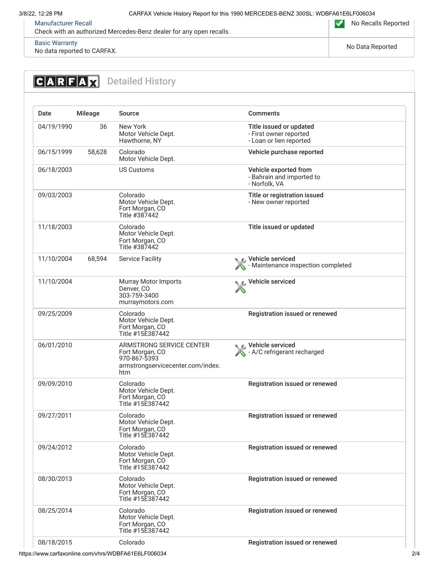[Manufacturer Recall](https://www.carfaxonline.com/vhrs/defManufacturerRecall)

Check with an authorized Mercedes-Benz dealer for any open recalls.

No Recalls Reported

[Basic Warranty](https://www.carfaxonline.com/vhrs/defBasicWarranty) No data reported to CARFAX. The contract of the contract of the contract of the contract of the contract of the No Data Reported No Data Reported in the contract of the contract of the contract of the contract of the contr

### <span id="page-1-0"></span>**CARFAX** Detailed History Date Mileage Source Comments 04/19/1990 36 New York Title issued or updated Motor Vehicle Dept. - First owner reported Hawthorne, NY - Loan or lien reported 06/15/1999 58,628 Colorado Vehicle purchase reported Motor Vehicle Dept. 06/18/2003 US Customs Vehicle exported from - Bahrain and imported to - Norfolk, VA 09/03/2003 Colorado Title or registration issued Motor Vehicle Dept. - New owner reported Fort Morgan, CO Title #387442 11/18/2003 Colorado Title issued or updated Motor Vehicle Dept. Fort Morgan, CO Title #387442 11/10/2004 68,594 Service Facility **Service Facility** Vehicle serviced - Maintenance inspection completed X Vehicle serviced 11/10/2004 Murray Motor Imports X Denver, CO 303-759-3400 murraymotors.com 09/25/2009 Colorado Registration issued or renewed Motor Vehicle Dept. Fort Morgan, CO Title #15E387442 Vehicle serviced 06/01/2010 ARMSTRONG SERVICE CENTER Fort Morgan, CO A - A/C refrigerant recharged 970-867-5393 armstrongservicecenter.com/index. htm 09/09/2010 Colorado Registration issued or renewed Motor Vehicle Dept. Fort Morgan, CO Title #15E387442 09/27/2011 Colorado Registration issued or renewed Motor Vehicle Dept. Fort Morgan, CO Title #15E387442 09/24/2012 Colorado Registration issued or renewed Motor Vehicle Dept. Fort Morgan, CO Title #15E387442 08/30/2013 Colorado Registration issued or renewed Motor Vehicle Dept. Fort Morgan, CO Title #15E387442 08/25/2014 Colorado Registration issued or renewed Motor Vehicle Dept. Fort Morgan, CO Title #15E387442 08/18/2015 Colorado Registration issued or renewed

https://www.carfaxonline.com/vhrs/WDBFA61E6LF006034 2/4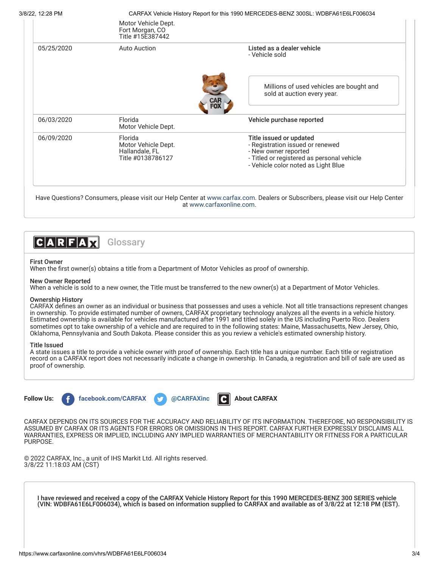3/8/22, 12:28 PM CARFAX Vehicle History Report for this 1990 MERCEDES-BENZ 300SL: WDBFA61E6LF006034

|            | Motor Vehicle Dept.<br>Fort Morgan, CO<br>Title #15E387442            |                                                                                                                                                                          |
|------------|-----------------------------------------------------------------------|--------------------------------------------------------------------------------------------------------------------------------------------------------------------------|
| 05/25/2020 | Auto Auction                                                          | Listed as a dealer vehicle<br>- Vehicle sold                                                                                                                             |
|            |                                                                       | Millions of used vehicles are bought and<br>sold at auction every year.                                                                                                  |
| 06/03/2020 | Florida<br>Motor Vehicle Dept.                                        | Vehicle purchase reported                                                                                                                                                |
| 06/09/2020 | Florida<br>Motor Vehicle Dept.<br>Hallandale, FL<br>Title #0138786127 | Title issued or updated<br>- Registration issued or renewed<br>- New owner reported<br>- Titled or registered as personal vehicle<br>- Vehicle color noted as Light Blue |

at [www.carfaxonline.com.](http://www.carfaxonline.com/)



# First Owner

When the first owner(s) obtains a title from a Department of Motor Vehicles as proof of ownership.

## New Owner Reported

When a vehicle is sold to a new owner, the Title must be transferred to the new owner(s) at a Department of Motor Vehicles.

# Ownership History

CARFAX defines an owner as an individual or business that possesses and uses a vehicle. Not all title transactions represent changes in ownership. To provide estimated number of owners, CARFAX proprietary technology analyzes all the events in a vehicle history. Estimated ownership is available for vehicles manufactured after 1991 and titled solely in the US including Puerto Rico. Dealers sometimes opt to take ownership of a vehicle and are required to in the following states: Maine, Massachusetts, New Jersey, Ohio, Oklahoma, Pennsylvania and South Dakota. Please consider this as you review a vehicle's estimated ownership history.

## Title Issued

A state issues a title to provide a vehicle owner with proof of ownership. Each title has a unique number. Each title or registration record on a CARFAX report does not necessarily indicate a change in ownership. In Canada, a registration and bill of sale are used as proof of ownership.



CARFAX DEPENDS ON ITS SOURCES FOR THE ACCURACY AND RELIABILITY OF ITS INFORMATION. THEREFORE, NO RESPONSIBILITY IS ASSUMED BY CARFAX OR ITS AGENTS FOR ERRORS OR OMISSIONS IN THIS REPORT. CARFAX FURTHER EXPRESSLY DISCLAIMS ALL WARRANTIES, EXPRESS OR IMPLIED, INCLUDING ANY IMPLIED WARRANTIES OF MERCHANTABILITY OR FITNESS FOR A PARTICULAR PURPOSE.

© 2022 CARFAX, Inc., a unit of IHS Markit Ltd. All rights reserved. 3/8/22 11:18:03 AM (CST)

I have reviewed and received a copy of the CARFAX Vehicle History Report for this 1990 MERCEDES-BENZ 300 SERIES vehicle (VIN: WDBFA61E6LF006034), which is based on information supplied to CARFAX and available as of 3/8/22 at 12:18 PM (EST).